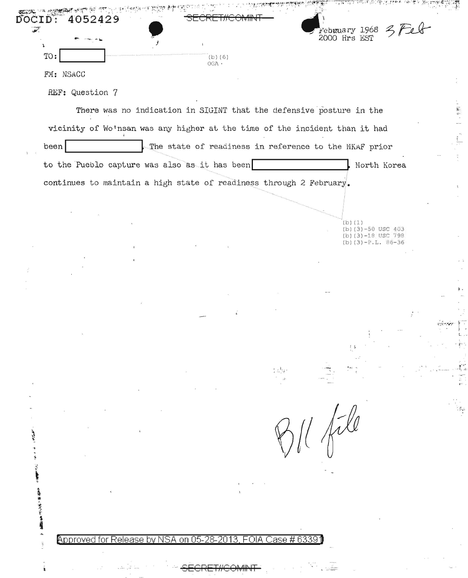| DOCID:<br>4052429<br>$\mathbf{w}$ |                                                                     |                   | Febwuary 1968<br>2000 Hrs EST                                              |  |
|-----------------------------------|---------------------------------------------------------------------|-------------------|----------------------------------------------------------------------------|--|
|                                   |                                                                     |                   |                                                                            |  |
| TO:                               | $(b)$ $(6)$<br>OGA                                                  |                   |                                                                            |  |
| FM: NSACC                         |                                                                     |                   |                                                                            |  |
| REF: Question 7                   |                                                                     |                   |                                                                            |  |
|                                   |                                                                     |                   | There was no indication in SIGINT that the defensive posture in the        |  |
|                                   |                                                                     |                   | vicinity of Wo'nsan was any higher at the time of the incident than it had |  |
| been                              |                                                                     |                   | The state of readiness in reference to the NKAF prior                      |  |
|                                   | to the Pueblo capture was also as it has been                       |                   | North Korea                                                                |  |
|                                   | continues to maintain a high state of readiness through 2 February. |                   |                                                                            |  |
|                                   |                                                                     |                   |                                                                            |  |
|                                   |                                                                     |                   |                                                                            |  |
|                                   |                                                                     |                   | (b) (1)<br>(b) $(3)-50$ USC 403<br>(b) $(3)-18$ USC 798                    |  |
|                                   |                                                                     |                   | $(b)(3)-P.L. 86-36$                                                        |  |
|                                   |                                                                     |                   |                                                                            |  |
|                                   |                                                                     |                   |                                                                            |  |
|                                   |                                                                     |                   |                                                                            |  |
|                                   |                                                                     |                   |                                                                            |  |
|                                   |                                                                     |                   |                                                                            |  |
|                                   |                                                                     |                   |                                                                            |  |
|                                   |                                                                     |                   |                                                                            |  |
|                                   |                                                                     |                   |                                                                            |  |
|                                   |                                                                     |                   |                                                                            |  |
|                                   |                                                                     |                   |                                                                            |  |
|                                   |                                                                     |                   | file                                                                       |  |
|                                   |                                                                     |                   |                                                                            |  |
|                                   |                                                                     |                   |                                                                            |  |
|                                   |                                                                     |                   |                                                                            |  |
|                                   |                                                                     |                   |                                                                            |  |
| 海遊 北京子宮 着言解                       |                                                                     |                   |                                                                            |  |
| ÷.                                | Approved for Release by NSA on 05-28-2013,                          | FOIA Case # 63391 |                                                                            |  |
| $\overline{\epsilon}$             |                                                                     |                   |                                                                            |  |